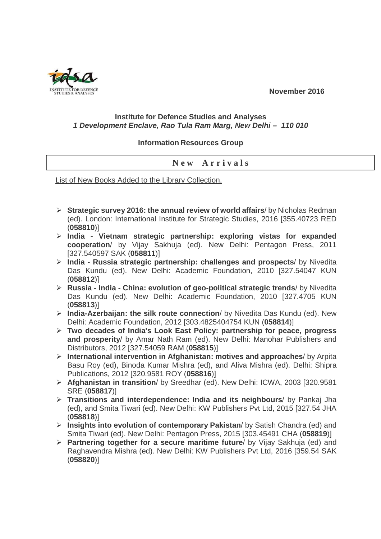**November 2016** 

## **Institute for Defence Studies and Analyses 1 Development Enclave, Rao Tula Ram Marg, New Delhi – 110 010**

## **Information Resources Group**

## **N e w A r r i v a l s**

List of New Books Added to the Library Collection.

- **Strategic survey 2016: the annual review of world affairs**/ by Nicholas Redman (ed). London: International Institute for Strategic Studies, 2016 [355.40723 RED (**058810**)]
- **India Vietnam strategic partnership: exploring vistas for expanded cooperation**/ by Vijay Sakhuja (ed). New Delhi: Pentagon Press, 2011 [327.540597 SAK (**058811**)]
- **India Russia strategic partnership: challenges and prospects**/ by Nivedita Das Kundu (ed). New Delhi: Academic Foundation, 2010 [327.54047 KUN (**058812**)]
- **Russia India China: evolution of geo-political strategic trends**/ by Nivedita Das Kundu (ed). New Delhi: Academic Foundation, 2010 [327.4705 KUN (**058813**)]
- **India-Azerbaijan: the silk route connection**/ by Nivedita Das Kundu (ed). New Delhi: Academic Foundation, 2012 [303.4825404754 KUN (**058814**)]
- **Two decades of India's Look East Policy: partnership for peace, progress and prosperity**/ by Amar Nath Ram (ed). New Delhi: Manohar Publishers and Distributors, 2012 [327.54059 RAM (**058815**)]
- **International intervention in Afghanistan: motives and approaches**/ by Arpita Basu Roy (ed), Binoda Kumar Mishra (ed), and Aliva Mishra (ed). Delhi: Shipra Publications, 2012 [320.9581 ROY (**058816**)]
- **Afghanistan in transition**/ by Sreedhar (ed). New Delhi: ICWA, 2003 [320.9581 SRE (**058817**)]
- **Transitions and interdependence: India and its neighbours**/ by Pankaj Jha (ed), and Smita Tiwari (ed). New Delhi: KW Publishers Pvt Ltd, 2015 [327.54 JHA (**058818**)]
- **Insights into evolution of contemporary Pakistan**/ by Satish Chandra (ed) and Smita Tiwari (ed). New Delhi: Pentagon Press, 2015 [303.45491 CHA (**058819**)]
- **Partnering together for a secure maritime future**/ by Vijay Sakhuja (ed) and Raghavendra Mishra (ed). New Delhi: KW Publishers Pvt Ltd, 2016 [359.54 SAK (**058820**)]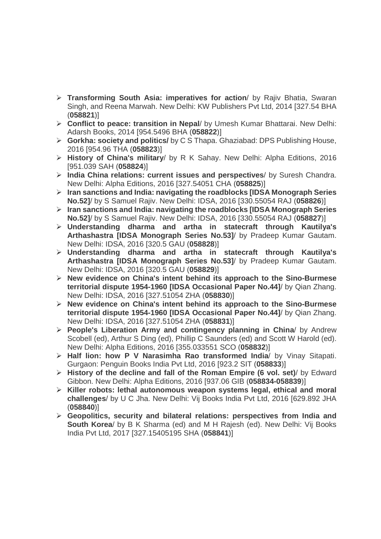- **Transforming South Asia: imperatives for action**/ by Rajiv Bhatia, Swaran Singh, and Reena Marwah. New Delhi: KW Publishers Pvt Ltd, 2014 [327.54 BHA (**058821**)]
- **Conflict to peace: transition in Nepal**/ by Umesh Kumar Bhattarai. New Delhi: Adarsh Books, 2014 [954.5496 BHA (**058822**)]
- **Gorkha: society and politics/** by C S Thapa. Ghaziabad: DPS Publishing House, 2016 [954.96 THA (**058823**)]
- **History of China's military**/ by R K Sahay. New Delhi: Alpha Editions, 2016 [951.039 SAH (**058824**)]
- **India China relations: current issues and perspectives**/ by Suresh Chandra. New Delhi: Alpha Editions, 2016 [327.54051 CHA (**058825**)]
- **Iran sanctions and India: navigating the roadblocks [IDSA Monograph Series No.52]**/ by S Samuel Rajiv. New Delhi: IDSA, 2016 [330.55054 RAJ (**058826**)]
- **Iran sanctions and India: navigating the roadblocks [IDSA Monograph Series No.52]**/ by S Samuel Rajiv. New Delhi: IDSA, 2016 [330.55054 RAJ (**058827**)]
- **Understanding dharma and artha in statecraft through Kautilya's Arthashastra [IDSA Monograph Series No.53]**/ by Pradeep Kumar Gautam. New Delhi: IDSA, 2016 [320.5 GAU (**058828**)]
- **Understanding dharma and artha in statecraft through Kautilya's Arthashastra [IDSA Monograph Series No.53]**/ by Pradeep Kumar Gautam. New Delhi: IDSA, 2016 [320.5 GAU (**058829**)]
- **New evidence on China's intent behind its approach to the Sino-Burmese territorial dispute 1954-1960 [IDSA Occasional Paper No.44]**/ by Qian Zhang. New Delhi: IDSA, 2016 [327.51054 ZHA (**058830**)]
- **New evidence on China's intent behind its approach to the Sino-Burmese territorial dispute 1954-1960 [IDSA Occasional Paper No.44]**/ by Qian Zhang. New Delhi: IDSA, 2016 [327.51054 ZHA (**058831**)]
- **People's Liberation Army and contingency planning in China**/ by Andrew Scobell (ed), Arthur S Ding (ed), Phillip C Saunders (ed) and Scott W Harold (ed). New Delhi: Alpha Editions, 2016 [355.033551 SCO (**058832**)]
- **Half lion: how P V Narasimha Rao transformed India**/ by Vinay Sitapati. Gurgaon: Penguin Books India Pvt Ltd, 2016 [923.2 SIT (**058833**)]
- **History of the decline and fall of the Roman Empire (6 vol. set)**/ by Edward Gibbon. New Delhi: Alpha Editions, 2016 [937.06 GIB (**058834-058839**)]
- **Killer robots: lethal autonomous weapon systems legal, ethical and moral challenges**/ by U C Jha. New Delhi: Vij Books India Pvt Ltd, 2016 [629.892 JHA (**058840**)]
- **Geopolitics, security and bilateral relations: perspectives from India and South Korea**/ by B K Sharma (ed) and M H Rajesh (ed). New Delhi: Vij Books India Pvt Ltd, 2017 [327.15405195 SHA (**058841**)]